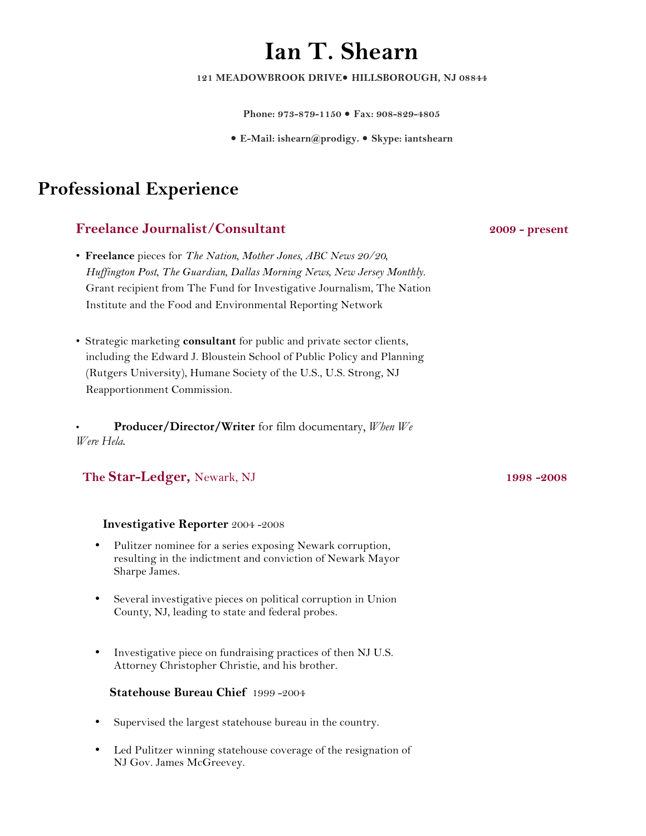# **Ian T. Shearn**

121 MEADOWBROOK DRIVE<sup>·</sup> HILLSBOROUGH, NJ 08844

**Phone: 973-879-1150 Fax: 908-829-4805**

**E-Mail: ishearn@prodigy. Skype: iantshearn**

## **Professional Experience**

### **Freelance Journalist/Consultant 2009 - present**

- **Freelance** pieces for *The Nation, Mother Jones, ABC News 20/20, Huffington Post, The Guardian, Dallas Morning News, New Jersey Monthly.*  Grant recipient from The Fund for Investigative Journalism, The Nation Institute and the Food and Environmental Reporting Network
- Strategic marketing **consultant** for public and private sector clients, including the Edward J. Bloustein School of Public Policy and Planning (Rutgers University), Humane Society of the U.S., U.S. Strong, NJ Reapportionment Commission.

• **Producer/Director/Writer** for film documentary, *When We Were Hela.*

#### **The Star-Ledger,** Newark, NJ **1998 -2008**

#### **Investigative Reporter** 2004 -2008

- Pulitzer nominee for a series exposing Newark corruption, resulting in the indictment and conviction of Newark Mayor Sharpe James.
- Several investigative pieces on political corruption in Union County, NJ, leading to state and federal probes.
- Investigative piece on fundraising practices of then NJ U.S. Attorney Christopher Christie, and his brother.

#### **Statehouse Bureau Chief** 1999-2004

- Supervised the largest statehouse bureau in the country.
- Led Pulitzer winning statehouse coverage of the resignation of NJ Gov. James McGreevey.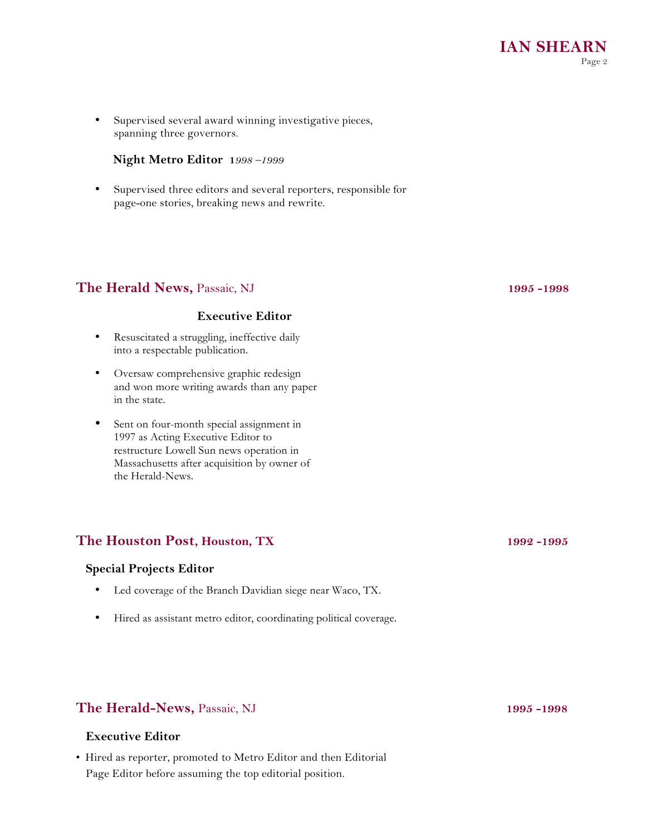• Supervised several award winning investigative pieces, spanning three governors.

#### **Night Metro Editor 1***998 –1999*

• Supervised three editors and several reporters, responsible for page-one stories, breaking news and rewrite.

#### **The Herald News,** Passaic, NJ **1995 -1998**

#### **Executive Editor**

- Resuscitated a struggling, ineffective daily into a respectable publication.
- Oversaw comprehensive graphic redesign and won more writing awards than any paper in the state.
- Sent on four-month special assignment in 1997 as Acting Executive Editor to restructure Lowell Sun news operation in Massachusetts after acquisition by owner of the Herald-News.

#### The Houston Post, Houston, TX 1992 -1995

#### **Special Projects Editor**

- Led coverage of the Branch Davidian siege near Waco, TX.
- Hired as assistant metro editor, coordinating political coverage.

#### **The Herald-News,** Passaic, NJ **1995 -1998**

#### **Executive Editor**

• Hired as reporter, promoted to Metro Editor and then Editorial Page Editor before assuming the top editorial position.